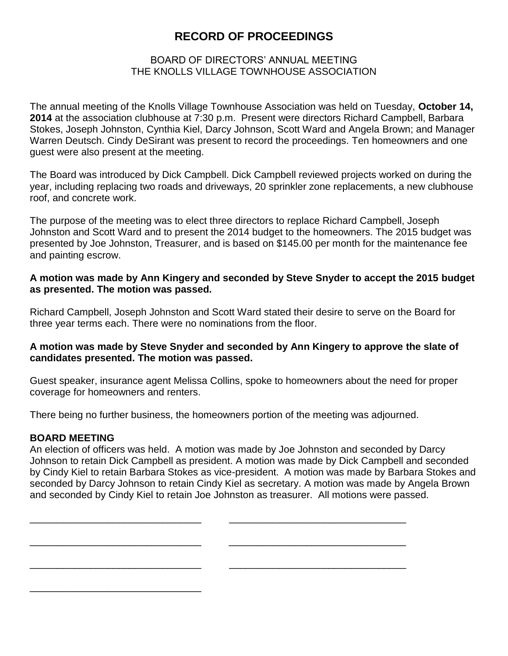# **RECORD OF PROCEEDINGS**

## BOARD OF DIRECTORS' ANNUAL MEETING THE KNOLLS VILLAGE TOWNHOUSE ASSOCIATION

The annual meeting of the Knolls Village Townhouse Association was held on Tuesday, **October 14, 2014** at the association clubhouse at 7:30 p.m. Present were directors Richard Campbell, Barbara Stokes, Joseph Johnston, Cynthia Kiel, Darcy Johnson, Scott Ward and Angela Brown; and Manager Warren Deutsch. Cindy DeSirant was present to record the proceedings. Ten homeowners and one guest were also present at the meeting.

The Board was introduced by Dick Campbell. Dick Campbell reviewed projects worked on during the year, including replacing two roads and driveways, 20 sprinkler zone replacements, a new clubhouse roof, and concrete work.

The purpose of the meeting was to elect three directors to replace Richard Campbell, Joseph Johnston and Scott Ward and to present the 2014 budget to the homeowners. The 2015 budget was presented by Joe Johnston, Treasurer, and is based on \$145.00 per month for the maintenance fee and painting escrow.

#### **A motion was made by Ann Kingery and seconded by Steve Snyder to accept the 2015 budget as presented. The motion was passed.**

Richard Campbell, Joseph Johnston and Scott Ward stated their desire to serve on the Board for three year terms each. There were no nominations from the floor.

## **A motion was made by Steve Snyder and seconded by Ann Kingery to approve the slate of candidates presented. The motion was passed.**

Guest speaker, insurance agent Melissa Collins, spoke to homeowners about the need for proper coverage for homeowners and renters.

There being no further business, the homeowners portion of the meeting was adjourned.

\_\_\_\_\_\_\_\_\_\_\_\_\_\_\_\_\_\_\_\_\_\_\_\_\_\_\_\_\_\_\_ \_\_\_\_\_\_\_\_\_\_\_\_\_\_\_\_\_\_\_\_\_\_\_\_\_\_\_\_\_\_\_\_

\_\_\_\_\_\_\_\_\_\_\_\_\_\_\_\_\_\_\_\_\_\_\_\_\_\_\_\_\_\_\_ \_\_\_\_\_\_\_\_\_\_\_\_\_\_\_\_\_\_\_\_\_\_\_\_\_\_\_\_\_\_\_\_

\_\_\_\_\_\_\_\_\_\_\_\_\_\_\_\_\_\_\_\_\_\_\_\_\_\_\_\_\_\_\_ \_\_\_\_\_\_\_\_\_\_\_\_\_\_\_\_\_\_\_\_\_\_\_\_\_\_\_\_\_\_\_\_

#### **BOARD MEETING**

\_\_\_\_\_\_\_\_\_\_\_\_\_\_\_\_\_\_\_\_\_\_\_\_\_\_\_\_\_\_\_

An election of officers was held. A motion was made by Joe Johnston and seconded by Darcy Johnson to retain Dick Campbell as president. A motion was made by Dick Campbell and seconded by Cindy Kiel to retain Barbara Stokes as vice-president. A motion was made by Barbara Stokes and seconded by Darcy Johnson to retain Cindy Kiel as secretary. A motion was made by Angela Brown and seconded by Cindy Kiel to retain Joe Johnston as treasurer. All motions were passed.